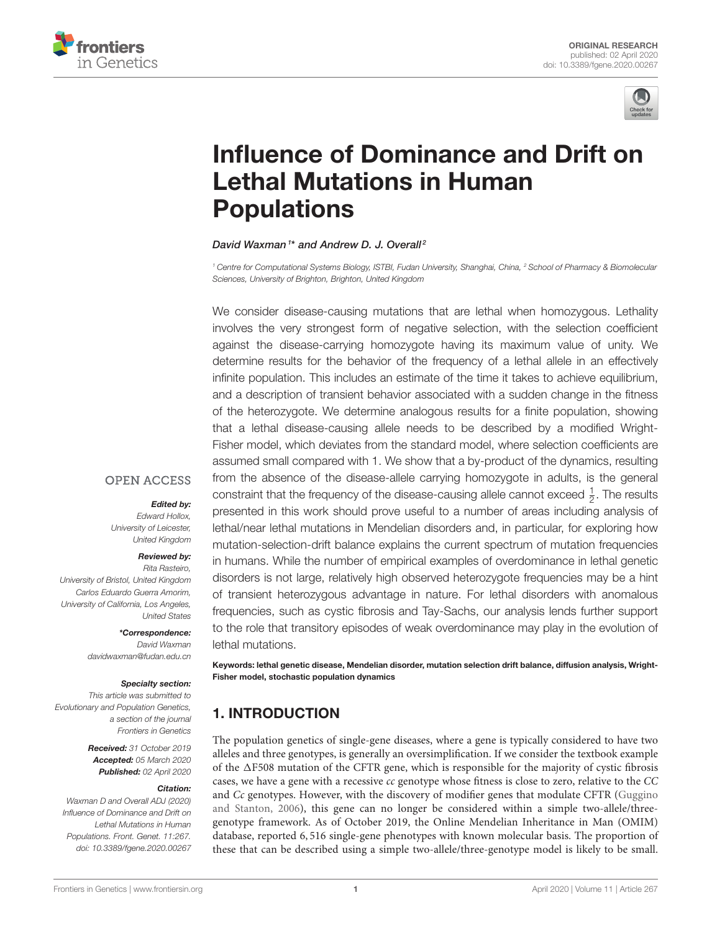



# [Influence of Dominance and Drift on](https://www.frontiersin.org/articles/10.3389/fgene.2020.00267/full) Lethal Mutations in Human Populations

## David Waxman<sup>1\*</sup> and [Andrew D. J. Overall](http://loop.frontiersin.org/people/555022/overview)<sup>2</sup>

*<sup>1</sup> Centre for Computational Systems Biology, ISTBI, Fudan University, Shanghai, China, <sup>2</sup> School of Pharmacy & Biomolecular Sciences, University of Brighton, Brighton, United Kingdom*

We consider disease-causing mutations that are lethal when homozygous. Lethality involves the very strongest form of negative selection, with the selection coefficient against the disease-carrying homozygote having its maximum value of unity. We determine results for the behavior of the frequency of a lethal allele in an effectively infinite population. This includes an estimate of the time it takes to achieve equilibrium, and a description of transient behavior associated with a sudden change in the fitness of the heterozygote. We determine analogous results for a finite population, showing that a lethal disease-causing allele needs to be described by a modified Wright-Fisher model, which deviates from the standard model, where selection coefficients are assumed small compared with 1. We show that a by-product of the dynamics, resulting from the absence of the disease-allele carrying homozygote in adults, is the general constraint that the frequency of the disease-causing allele cannot exceed  $\frac{1}{2}$ . The results presented in this work should prove useful to a number of areas including analysis of lethal/near lethal mutations in Mendelian disorders and, in particular, for exploring how mutation-selection-drift balance explains the current spectrum of mutation frequencies in humans. While the number of empirical examples of overdominance in lethal genetic disorders is not large, relatively high observed heterozygote frequencies may be a hint of transient heterozygous advantage in nature. For lethal disorders with anomalous frequencies, such as cystic fibrosis and Tay-Sachs, our analysis lends further support to the role that transitory episodes of weak overdominance may play in the evolution of lethal mutations.

Keywords: lethal genetic disease, Mendelian disorder, mutation selection drift balance, diffusion analysis, Wright-Fisher model, stochastic population dynamics

# 1. INTRODUCTION

The population genetics of single-gene diseases, where a gene is typically considered to have two alleles and three genotypes, is generally an oversimplification. If we consider the textbook example of the  $\Delta$ F508 mutation of the CFTR gene, which is responsible for the majority of cystic fibrosis cases, we have a gene with a recessive cc genotype whose fitness is close to zero, relative to the CC and Cc genotypes. However, with the discovery of modifier genes that modulate CFTR (Guggino and Stanton, [2006\)](#page-9-0), this gene can no longer be considered within a simple two-allele/threegenotype framework. As of October 2019, the Online Mendelian Inheritance in Man (OMIM) database, reported 6, 516 single-gene phenotypes with known molecular basis. The proportion of these that can be described using a simple two-allele/three-genotype model is likely to be small.

# **OPEN ACCESS**

## Edited by:

*Edward Hollox, University of Leicester, United Kingdom*

#### Reviewed by:

*Rita Rasteiro, University of Bristol, United Kingdom Carlos Eduardo Guerra Amorim, University of California, Los Angeles, United States*

## \*Correspondence:

*David Waxman [davidwaxman@fudan.edu.cn](mailto:davidwaxman@fudan.edu.cn)*

#### Specialty section:

*This article was submitted to Evolutionary and Population Genetics, a section of the journal Frontiers in Genetics*

> Received: *31 October 2019* Accepted: *05 March 2020* Published: *02 April 2020*

#### Citation:

*Waxman D and Overall ADJ (2020) Influence of Dominance and Drift on Lethal Mutations in Human Populations. Front. Genet. 11:267. doi: [10.3389/fgene.2020.00267](https://doi.org/10.3389/fgene.2020.00267)*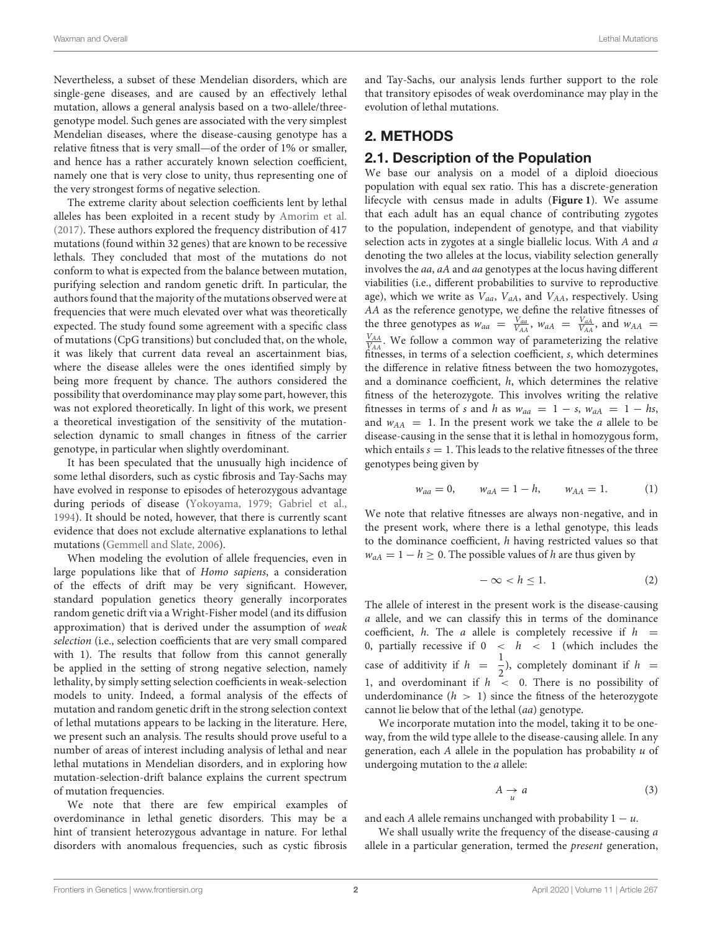Nevertheless, a subset of these Mendelian disorders, which are single-gene diseases, and are caused by an effectively lethal mutation, allows a general analysis based on a two-allele/threegenotype model. Such genes are associated with the very simplest Mendelian diseases, where the disease-causing genotype has a relative fitness that is very small—of the order of 1% or smaller, and hence has a rather accurately known selection coefficient, namely one that is very close to unity, thus representing one of the very strongest forms of negative selection.

The extreme clarity about selection coefficients lent by lethal alleles has been exploited in a recent study by [Amorim et al.](#page-9-1) [\(2017\)](#page-9-1). These authors explored the frequency distribution of 417 mutations (found within 32 genes) that are known to be recessive lethals. They concluded that most of the mutations do not conform to what is expected from the balance between mutation, purifying selection and random genetic drift. In particular, the authors found that the majority of the mutations observed were at frequencies that were much elevated over what was theoretically expected. The study found some agreement with a specific class of mutations (CpG transitions) but concluded that, on the whole, it was likely that current data reveal an ascertainment bias, where the disease alleles were the ones identified simply by being more frequent by chance. The authors considered the possibility that overdominance may play some part, however, this was not explored theoretically. In light of this work, we present a theoretical investigation of the sensitivity of the mutationselection dynamic to small changes in fitness of the carrier genotype, in particular when slightly overdominant.

It has been speculated that the unusually high incidence of some lethal disorders, such as cystic fibrosis and Tay-Sachs may have evolved in response to episodes of heterozygous advantage during periods of disease [\(Yokoyama, 1979;](#page-9-2) [Gabriel et al.,](#page-9-3) [1994\)](#page-9-3). It should be noted, however, that there is currently scant evidence that does not exclude alternative explanations to lethal mutations [\(Gemmell and Slate, 2006\)](#page-9-4).

When modeling the evolution of allele frequencies, even in large populations like that of Homo sapiens, a consideration of the effects of drift may be very significant. However, standard population genetics theory generally incorporates random genetic drift via a Wright-Fisher model (and its diffusion approximation) that is derived under the assumption of weak selection (i.e., selection coefficients that are very small compared with 1). The results that follow from this cannot generally be applied in the setting of strong negative selection, namely lethality, by simply setting selection coefficients in weak-selection models to unity. Indeed, a formal analysis of the effects of mutation and random genetic drift in the strong selection context of lethal mutations appears to be lacking in the literature. Here, we present such an analysis. The results should prove useful to a number of areas of interest including analysis of lethal and near lethal mutations in Mendelian disorders, and in exploring how mutation-selection-drift balance explains the current spectrum of mutation frequencies.

We note that there are few empirical examples of overdominance in lethal genetic disorders. This may be a hint of transient heterozygous advantage in nature. For lethal disorders with anomalous frequencies, such as cystic fibrosis and Tay-Sachs, our analysis lends further support to the role that transitory episodes of weak overdominance may play in the evolution of lethal mutations.

# 2. METHODS

## 2.1. Description of the Population

We base our analysis on a model of a diploid dioecious population with equal sex ratio. This has a discrete-generation lifecycle with census made in adults (**[Figure 1](#page-2-0)**). We assume that each adult has an equal chance of contributing zygotes to the population, independent of genotype, and that viability selection acts in zygotes at a single biallelic locus. With A and a denoting the two alleles at the locus, viability selection generally involves the aa, aA and aa genotypes at the locus having different viabilities (i.e., different probabilities to survive to reproductive age), which we write as  $V_{aa}$ ,  $V_{AA}$ , and  $V_{AA}$ , respectively. Using AA as the reference genotype, we define the relative fitnesses of the three genotypes as  $w_{aa} = \frac{V_{aa}}{V_{AA}}$ ,  $w_{aA} = \frac{V_{aa}}{V_{AA}}$ , and  $w_{AA} = \frac{V_{AA}}{V_{AA}}$  $\frac{V_{AA}}{V_{AA}}$ . We follow a common way of parameterizing the relative fitnesses, in terms of a selection coefficient, s, which determines the difference in relative fitness between the two homozygotes, and a dominance coefficient, h, which determines the relative fitness of the heterozygote. This involves writing the relative fitnesses in terms of s and h as  $w_{aa} = 1 - s$ ,  $w_{aA} = 1 - hs$ , and  $w_{AA} = 1$ . In the present work we take the *a* allele to be disease-causing in the sense that it is lethal in homozygous form, which entails  $s = 1$ . This leads to the relative fitnesses of the three genotypes being given by

$$
w_{aa} = 0, \t w_{aA} = 1 - h, \t w_{AA} = 1.
$$
 (1)

We note that relative fitnesses are always non-negative, and in the present work, where there is a lethal genotype, this leads to the dominance coefficient, h having restricted values so that  $w_{aA} = 1 - h \ge 0$ . The possible values of h are thus given by

$$
-\infty < h \leq 1. \tag{2}
$$

The allele of interest in the present work is the disease-causing a allele, and we can classify this in terms of the dominance coefficient, h. The a allele is completely recessive if  $h =$ 0, partially recessive if  $0 < h < 1$  (which includes the case of additivity if  $h = \frac{1}{2}$  $\frac{1}{2}$ ), completely dominant if  $h =$ 1, and overdominant if  $h \leq 0$ . There is no possibility of underdominance  $(h > 1)$  since the fitness of the heterozygote cannot lie below that of the lethal (aa) genotype.

We incorporate mutation into the model, taking it to be oneway, from the wild type allele to the disease-causing allele. In any generation, each  $A$  allele in the population has probability  $u$  of undergoing mutation to the a allele:

$$
A \underset{u}{\rightarrow} a \tag{3}
$$

and each A allele remains unchanged with probability  $1 - u$ .

We shall usually write the frequency of the disease-causing a allele in a particular generation, termed the present generation,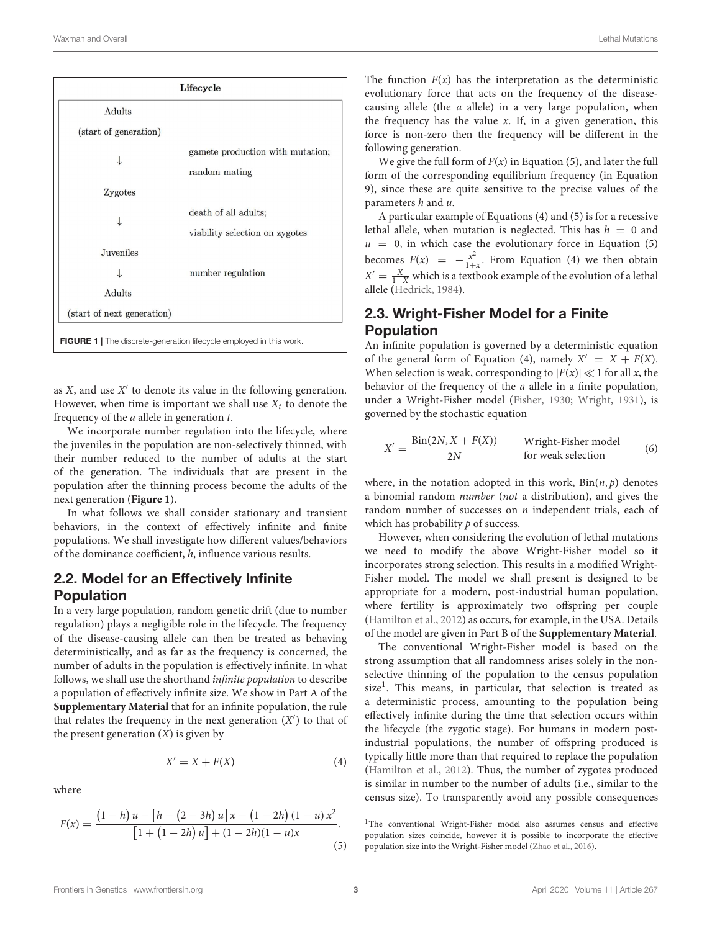| Lifecycle                                                                  |                                  |  |  |  |  |
|----------------------------------------------------------------------------|----------------------------------|--|--|--|--|
| Adults                                                                     |                                  |  |  |  |  |
| (start of generation)                                                      |                                  |  |  |  |  |
|                                                                            | gamete production with mutation; |  |  |  |  |
|                                                                            | random mating                    |  |  |  |  |
| Zygotes                                                                    |                                  |  |  |  |  |
|                                                                            | death of all adults;             |  |  |  |  |
|                                                                            | viability selection on zygotes   |  |  |  |  |
| Juveniles                                                                  |                                  |  |  |  |  |
|                                                                            | number regulation                |  |  |  |  |
| Adults                                                                     |                                  |  |  |  |  |
| (start of next generation)                                                 |                                  |  |  |  |  |
| <b>FIGURE 1</b>   The discrete-generation lifecycle employed in this work. |                                  |  |  |  |  |

<span id="page-2-0"></span>as  $X$ , and use  $X^\prime$  to denote its value in the following generation. However, when time is important we shall use  $X_t$  to denote the frequency of the a allele in generation t.

We incorporate number regulation into the lifecycle, where the juveniles in the population are non-selectively thinned, with their number reduced to the number of adults at the start of the generation. The individuals that are present in the population after the thinning process become the adults of the next generation (**[Figure 1](#page-2-0)**).

In what follows we shall consider stationary and transient behaviors, in the context of effectively infinite and finite populations. We shall investigate how different values/behaviors of the dominance coefficient, h, influence various results.

## 2.2. Model for an Effectively Infinite Population

In a very large population, random genetic drift (due to number regulation) plays a negligible role in the lifecycle. The frequency of the disease-causing allele can then be treated as behaving deterministically, and as far as the frequency is concerned, the number of adults in the population is effectively infinite. In what follows, we shall use the shorthand infinite population to describe a population of effectively infinite size. We show in Part A of the **[Supplementary Material](#page-9-5)** that for an infinite population, the rule that relates the frequency in the next generation  $(X')$  to that of the present generation  $(X)$  is given by

$$
X' = X + F(X) \tag{4}
$$

where

$$
F(x) = \frac{(1-h)u - [h - (2-3h)u]x - (1-2h)(1-u)x^{2}}{[1 + (1-2h)u] + (1-2h)(1-u)x}.
$$
\n(5)

The function  $F(x)$  has the interpretation as the deterministic evolutionary force that acts on the frequency of the diseasecausing allele (the a allele) in a very large population, when the frequency has the value  $x$ . If, in a given generation, this force is non-zero then the frequency will be different in the following generation.

We give the full form of  $F(x)$  in Equation (5), and later the full form of the corresponding equilibrium frequency (in Equation 9), since these are quite sensitive to the precise values of the parameters h and u.

A particular example of Equations (4) and (5) is for a recessive lethal allele, when mutation is neglected. This has  $h = 0$  and  $u = 0$ , in which case the evolutionary force in Equation (5) becomes  $F(x) = -\frac{x^2}{1+x^2}$  $\frac{x}{1+x}$ . From Equation (4) we then obtain  $X' = \frac{X}{1+X}$  which is a textbook example of the evolution of a lethal allele [\(Hedrick, 1984\)](#page-9-6).

# 2.3. Wright-Fisher Model for a Finite Population

An infinite population is governed by a deterministic equation of the general form of Equation (4), namely  $X' = X + F(X)$ . When selection is weak, corresponding to  $|F(x)| \ll 1$  for all x, the behavior of the frequency of the a allele in a finite population, under a Wright-Fisher model [\(Fisher, 1930;](#page-9-7) [Wright, 1931\)](#page-9-8), is governed by the stochastic equation

$$
X' = \frac{\text{Bin}(2N, X + F(X))}{2N}
$$
 Wright-Fisher model  
for weak selection (6)

where, in the notation adopted in this work,  $Bin(n, p)$  denotes a binomial random number (not a distribution), and gives the random number of successes on  $n$  independent trials, each of which has probability  $p$  of success.

However, when considering the evolution of lethal mutations we need to modify the above Wright-Fisher model so it incorporates strong selection. This results in a modified Wright-Fisher model. The model we shall present is designed to be appropriate for a modern, post-industrial human population, where fertility is approximately two offspring per couple [\(Hamilton et al., 2012\)](#page-9-9) as occurs, for example, in the USA. Details of the model are given in Part B of the **[Supplementary Material](#page-9-5)**.

The conventional Wright-Fisher model is based on the strong assumption that all randomness arises solely in the nonselective thinning of the population to the census population size<sup>[1](#page-2-1)</sup>. This means, in particular, that selection is treated as a deterministic process, amounting to the population being effectively infinite during the time that selection occurs within the lifecycle (the zygotic stage). For humans in modern postindustrial populations, the number of offspring produced is typically little more than that required to replace the population [\(Hamilton et al., 2012\)](#page-9-9). Thus, the number of zygotes produced is similar in number to the number of adults (i.e., similar to the census size). To transparently avoid any possible consequences

<span id="page-2-1"></span><sup>&</sup>lt;sup>1</sup>The conventional Wright-Fisher model also assumes census and effective population sizes coincide, however it is possible to incorporate the effective population size into the Wright-Fisher model [\(Zhao et al., 2016\)](#page-9-10).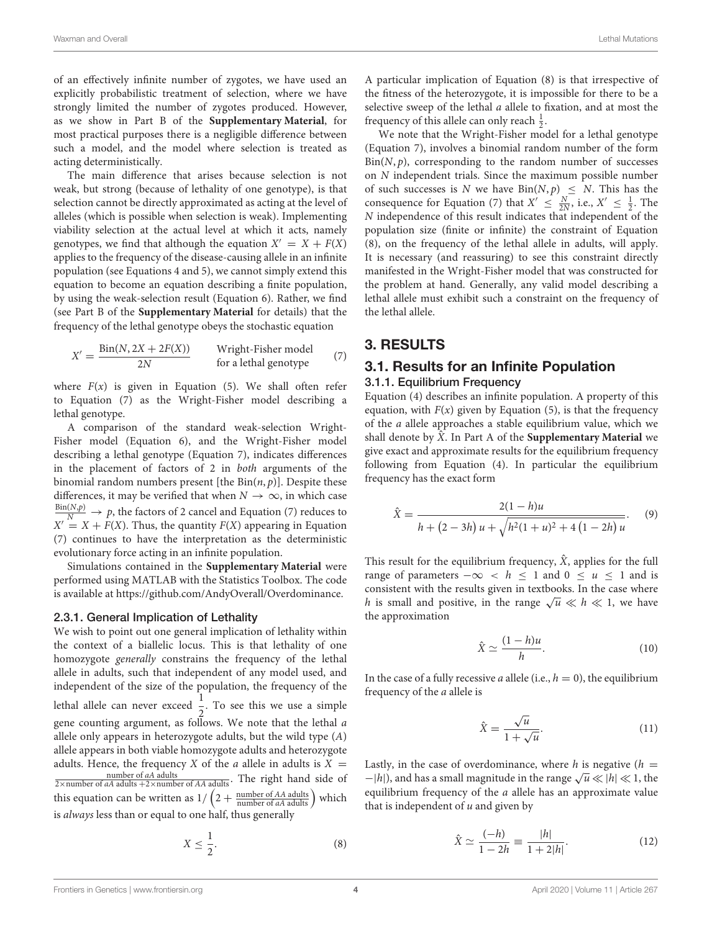of an effectively infinite number of zygotes, we have used an explicitly probabilistic treatment of selection, where we have strongly limited the number of zygotes produced. However, as we show in Part B of the **[Supplementary Material](#page-9-5)**, for most practical purposes there is a negligible difference between such a model, and the model where selection is treated as acting deterministically.

The main difference that arises because selection is not weak, but strong (because of lethality of one genotype), is that selection cannot be directly approximated as acting at the level of alleles (which is possible when selection is weak). Implementing viability selection at the actual level at which it acts, namely genotypes, we find that although the equation  $X' = X + F(X)$ applies to the frequency of the disease-causing allele in an infinite population (see Equations 4 and 5), we cannot simply extend this equation to become an equation describing a finite population, by using the weak-selection result (Equation 6). Rather, we find (see Part B of the **[Supplementary Material](#page-9-5)** for details) that the frequency of the lethal genotype obeys the stochastic equation

$$
X' = \frac{\text{Bin}(N, 2X + 2F(X))}{2N}
$$
 Wright-Fisher model  
for a lethal genotype (7)

where  $F(x)$  is given in Equation (5). We shall often refer to Equation (7) as the Wright-Fisher model describing a lethal genotype.

A comparison of the standard weak-selection Wright-Fisher model (Equation 6), and the Wright-Fisher model describing a lethal genotype (Equation 7), indicates differences in the placement of factors of 2 in both arguments of the binomial random numbers present [the  $Bin(n, p)$ ]. Despite these differences, it may be verified that when  $N \to \infty$ , in which case  $\frac{\text{Bin}(N,p)}{N} \to p$ , the factors of 2 cancel and Equation (7) reduces to  $X' = X + F(X)$ . Thus, the quantity  $F(X)$  appearing in Equation (7) continues to have the interpretation as the deterministic evolutionary force acting in an infinite population.

Simulations contained in the **[Supplementary Material](#page-9-5)** were performed using MATLAB with the Statistics Toolbox. The code is available at [https://github.com/AndyOverall/Overdominance.](https://github.com/AndyOverall/Overdominance)

## 2.3.1. General Implication of Lethality

We wish to point out one general implication of lethality within the context of a biallelic locus. This is that lethality of one homozygote generally constrains the frequency of the lethal allele in adults, such that independent of any model used, and independent of the size of the population, the frequency of the lethal allele can never exceed  $\frac{1}{2}$ . To see this we use a simple gene counting argument, as follows. We note that the lethal a allele only appears in heterozygote adults, but the wild type  $(A)$ allele appears in both viable homozygote adults and heterozygote adults. Hence, the frequency X of the *a* allele in adults is  $X =$ number of *aA* adults<br>  $\overline{2 \times \text{number of } aA \text{ adults}}$ . The right hand side of this equation can be written as  $1/\left(2+\frac{\text{number of }AA\text{ adults}}{\text{number of }AA\text{ adults}}\right)$  which is always less than or equal to one half, thus generally

$$
X \le \frac{1}{2}.\tag{8}
$$

A particular implication of Equation (8) is that irrespective of the fitness of the heterozygote, it is impossible for there to be a selective sweep of the lethal a allele to fixation, and at most the frequency of this allele can only reach  $\frac{1}{2}$ .

We note that the Wright-Fisher model for a lethal genotype (Equation 7), involves a binomial random number of the form  $Bin(N, p)$ , corresponding to the random number of successes on N independent trials. Since the maximum possible number of such successes is N we have  $Bin(N, p) \leq N$ . This has the consequence for Equation (7) that  $X' \leq \frac{N}{2N}$ , i.e.,  $X' \leq \frac{1}{2}$ . The N independence of this result indicates that independent of the population size (finite or infinite) the constraint of Equation (8), on the frequency of the lethal allele in adults, will apply. It is necessary (and reassuring) to see this constraint directly manifested in the Wright-Fisher model that was constructed for the problem at hand. Generally, any valid model describing a lethal allele must exhibit such a constraint on the frequency of the lethal allele.

# 3. RESULTS

## 3.1. Results for an Infinite Population 3.1.1. Equilibrium Frequency

Equation (4) describes an infinite population. A property of this equation, with  $F(x)$  given by Equation (5), is that the frequency of the a allele approaches a stable equilibrium value, which we shall denote by  $\hat{X}$ . In Part A of the **[Supplementary Material](#page-9-5)** we give exact and approximate results for the equilibrium frequency following from Equation (4). In particular the equilibrium frequency has the exact form

$$
\hat{X} = \frac{2(1-h)u}{h + (2-3h)u + \sqrt{h^2(1+u)^2 + 4(1-2h)u}}.\tag{9}
$$

This result for the equilibrium frequency,  $\hat{X}$ , applies for the full range of parameters  $-\infty < h \le 1$  and  $0 \le u \le 1$  and is consistent with the results given in textbooks. In the case where h is small and positive, in the range  $\sqrt{u} \ll h \ll 1$ , we have the approximation

$$
\hat{X} \simeq \frac{(1-h)u}{h}.\tag{10}
$$

In the case of a fully recessive *a* allele (i.e.,  $h = 0$ ), the equilibrium frequency of the a allele is

$$
\hat{X} = \frac{\sqrt{u}}{1 + \sqrt{u}}.\tag{11}
$$

Lastly, in the case of overdominance, where h is negative  $(h =$  $-|h|$ ), and has a small magnitude in the range  $\sqrt{u} \ll |h| \ll 1$ , the equilibrium frequency of the a allele has an approximate value that is independent of  $u$  and given by

$$
\hat{X} \simeq \frac{(-h)}{1 - 2h} \equiv \frac{|h|}{1 + 2|h|}.
$$
\n(12)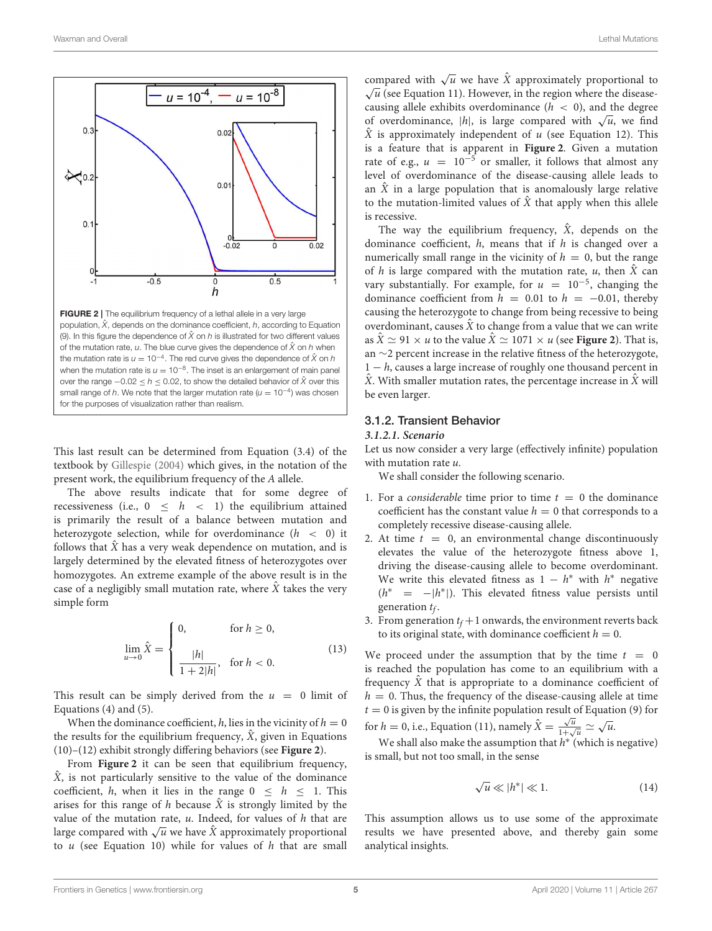

<span id="page-4-0"></span>FIGURE 2 | The equilibrium frequency of a lethal allele in a very large population,  $\hat{X}$ , depends on the dominance coefficient,  $h$ , according to Equation (9). In this figure the dependence of  $\hat{X}$  on  $h$  is illustrated for two different values of the mutation rate,  $u$ . The blue curve gives the dependence of  $\hat{X}$  on  $h$  when the mutation rate is  $u = 10^{-4}$ . The red curve gives the dependence of  $\hat{X}$  on  $h$ when the mutation rate is  $u = 10^{-8}$ . The inset is an enlargement of main panel over the range −0.02 ≤ *h* ≤ 0.02, to show the detailed behavior of *X*ˆ over this small range of *h*. We note that the larger mutation rate  $(\mu = 10^{-4})$  was chosen for the purposes of visualization rather than realism.

This last result can be determined from Equation (3.4) of the textbook by [Gillespie \(2004\)](#page-9-11) which gives, in the notation of the present work, the equilibrium frequency of the A allele.

The above results indicate that for some degree of recessiveness (i.e.,  $0 \leq h \leq 1$ ) the equilibrium attained is primarily the result of a balance between mutation and heterozygote selection, while for overdominance  $(h < 0)$  it follows that  $\hat{X}$  has a very weak dependence on mutation, and is largely determined by the elevated fitness of heterozygotes over homozygotes. An extreme example of the above result is in the case of a negligibly small mutation rate, where  $\hat{X}$  takes the very simple form

$$
\lim_{u \to 0} \hat{X} = \begin{cases} 0, & \text{for } h \ge 0, \\ \frac{|h|}{1 + 2|h}, & \text{for } h < 0. \end{cases}
$$
(13)

This result can be simply derived from the  $u = 0$  limit of Equations (4) and (5).

When the dominance coefficient, h, lies in the vicinity of  $h = 0$ the results for the equilibrium frequency,  $\hat{X}$ , given in Equations (10)–(12) exhibit strongly differing behaviors (see **[Figure 2](#page-4-0)**).

From **[Figure 2](#page-4-0)** it can be seen that equilibrium frequency,  $\hat{X}$ , is not particularly sensitive to the value of the dominance coefficient, h, when it lies in the range  $0 \leq h \leq 1$ . This arises for this range of h because  $\hat{X}$  is strongly limited by the value of the mutation rate,  $u$ . Indeed, for values of  $h$  that are large compared with  $\sqrt{u}$  we have  $\hat{X}$  approximately proportional to  $u$  (see Equation 10) while for values of  $h$  that are small

compared with  $\sqrt{u}$  we have  $\hat{X}$  approximately proportional to  $\sqrt{u}$  (see Equation 11). However, in the region where the diseasecausing allele exhibits overdominance  $(h < 0)$ , and the degree of overdominance, |h|, is large compared with  $\sqrt{u}$ , we find  $\hat{X}$  is approximately independent of u (see Equation 12). This is a feature that is apparent in **[Figure 2](#page-4-0)**. Given a mutation rate of e.g.,  $u = 10^{-5}$  or smaller, it follows that almost any level of overdominance of the disease-causing allele leads to an  $\hat{X}$  in a large population that is anomalously large relative to the mutation-limited values of  $\hat{X}$  that apply when this allele is recessive.

The way the equilibrium frequency,  $\hat{X}$ , depends on the dominance coefficient,  $h$ , means that if  $h$  is changed over a numerically small range in the vicinity of  $h = 0$ , but the range of h is large compared with the mutation rate, u, then  $\hat{X}$  can vary substantially. For example, for  $u = 10^{-5}$ , changing the dominance coefficient from  $h = 0.01$  to  $h = -0.01$ , thereby causing the heterozygote to change from being recessive to being overdominant, causes  $\hat{X}$  to change from a value that we can write as  $\hat{X} \simeq 91 \times u$  to the value  $\hat{X} \simeq 1071 \times u$  (see **[Figure 2](#page-4-0)**). That is, an ∼2 percent increase in the relative fitness of the heterozygote,  $1 - h$ , causes a large increase of roughly one thousand percent in  $\hat{X}$ . With smaller mutation rates, the percentage increase in  $\hat{X}$  will be even larger.

## 3.1.2. Transient Behavior

#### **3.1.2.1. Scenario**

Let us now consider a very large (effectively infinite) population with mutation rate  $u$ .

We shall consider the following scenario.

- 1. For a *considerable* time prior to time  $t = 0$  the dominance coefficient has the constant value  $h = 0$  that corresponds to a completely recessive disease-causing allele.
- 2. At time  $t = 0$ , an environmental change discontinuously elevates the value of the heterozygote fitness above 1, driving the disease-causing allele to become overdominant. We write this elevated fitness as  $1 - h^*$  with  $h^*$  negative  $(h^* = -|h^*|)$ . This elevated fitness value persists until generation  $t_f$ .
- 3. From generation  $t_f + 1$  onwards, the environment reverts back to its original state, with dominance coefficient  $h = 0$ .

We proceed under the assumption that by the time  $t = 0$ is reached the population has come to an equilibrium with a frequency  $\hat{X}$  that is appropriate to a dominance coefficient of  $h = 0$ . Thus, the frequency of the disease-causing allele at time  $t = 0$  is given by the infinite population result of Equation (9) for for  $h = 0$ , i.e., Equation (11), namely  $\hat{X} = \frac{\sqrt{u}}{1 + \sqrt{u}}$  $\frac{\sqrt{u}}{1+\sqrt{u}} \simeq \sqrt{u}.$ 

We shall also make the assumption that  $h^*$  (which is negative) is small, but not too small, in the sense

$$
\sqrt{u} \ll |h^*| \ll 1. \tag{14}
$$

This assumption allows us to use some of the approximate results we have presented above, and thereby gain some analytical insights.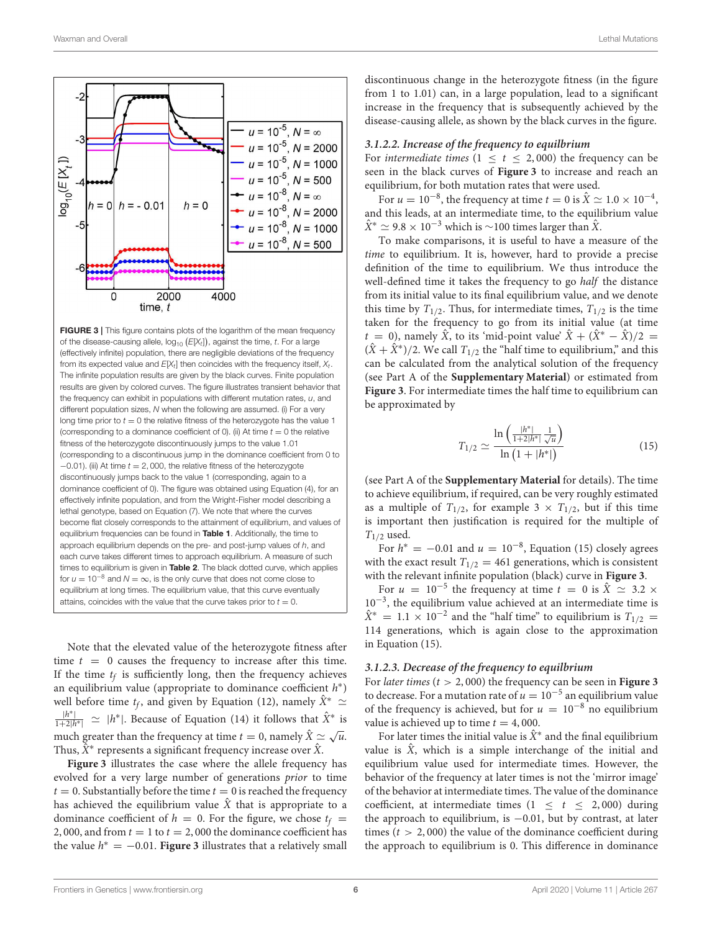

<span id="page-5-0"></span>**FIGURE 3** | This figure contains plots of the logarithm of the mean frequency of the disease-causing allele,  $log_{10}$   $(E[X_t])$ , against the time, *t*. For a large (effectively infinite) population, there are negligible deviations of the frequency from its expected value and  $E[X_t]$  then coincides with the frequency itself,  $X_t$ . The infinite population results are given by the black curves. Finite population results are given by colored curves. The figure illustrates transient behavior that the frequency can exhibit in populations with different mutation rates, *u*, and different population sizes, *N* when the following are assumed. (i) For a very long time prior to  $t = 0$  the relative fitness of the heterozygote has the value 1 (corresponding to a dominance coefficient of 0). (ii) At time  $t = 0$  the relative fitness of the heterozygote discontinuously jumps to the value 1.01 (corresponding to a discontinuous jump in the dominance coefficient from 0 to −0.01). (iii) At time *t* = 2, 000, the relative fitness of the heterozygote discontinuously jumps back to the value 1 (corresponding, again to a dominance coefficient of 0). The figure was obtained using Equation (4), for an effectively infinite population, and from the Wright-Fisher model describing a lethal genotype, based on Equation (7). We note that where the curves become flat closely corresponds to the attainment of equilibrium, and values of equilibrium frequencies can be found in [Table 1](#page-7-0). Additionally, the time to approach equilibrium depends on the pre- and post-jump values of *h*, and each curve takes different times to approach equilibrium. A measure of such times to equilibrium is given in [Table 2](#page-7-1). The black dotted curve, which applies for  $u = 10^{-8}$  and  $N = \infty$ , is the only curve that does not come close to equilibrium at long times. The equilibrium value, that this curve eventually attains, coincides with the value that the curve takes prior to  $t = 0$ .

Note that the elevated value of the heterozygote fitness after time  $t = 0$  causes the frequency to increase after this time. If the time  $t_f$  is sufficiently long, then the frequency achieves an equilibrium value (appropriate to dominance coefficient  $h^*$ ) well before time  $t_f$ , and given by Equation (12), namely  $X^* \simeq$  $\frac{|h^*|}{1+2|h^*|} \simeq |h^*|$ . Because of Equation (14) it follows that  $\hat{X}^*$  is much greater than the frequency at time  $t = 0$ , namely  $\hat{X} \simeq \sqrt{u}$ . Thus,  $X^*$  represents a significant frequency increase over  $X$ .

**[Figure 3](#page-5-0)** illustrates the case where the allele frequency has evolved for a very large number of generations prior to time  $t = 0$ . Substantially before the time  $t = 0$  is reached the frequency has achieved the equilibrium value  $\hat{X}$  that is appropriate to a dominance coefficient of  $h = 0$ . For the figure, we chose  $t_f =$ 2, 000, and from  $t = 1$  to  $t = 2$ , 000 the dominance coefficient has the value  $h^* = -0.01$ . **[Figure 3](#page-5-0)** illustrates that a relatively small

discontinuous change in the heterozygote fitness (in the figure from 1 to 1.01) can, in a large population, lead to a significant increase in the frequency that is subsequently achieved by the disease-causing allele, as shown by the black curves in the figure.

### **3.1.2.2. Increase of the frequency to equilbrium**

For *intermediate times*  $(1 \le t \le 2,000)$  the frequency can be seen in the black curves of **[Figure 3](#page-5-0)** to increase and reach an equilibrium, for both mutation rates that were used.

For  $u = 10^{-8}$ , the frequency at time  $t = 0$  is  $\hat{X} \simeq 1.0 \times 10^{-4}$ , and this leads, at an intermediate time, to the equilibrium value  $\hat{X}^* \simeq 9.8 \times 10^{-3}$  which is ~100 times larger than  $\hat{X}$ .

To make comparisons, it is useful to have a measure of the time to equilibrium. It is, however, hard to provide a precise definition of the time to equilibrium. We thus introduce the well-defined time it takes the frequency to go half the distance from its initial value to its final equilibrium value, and we denote this time by  $T_{1/2}$ . Thus, for intermediate times,  $T_{1/2}$  is the time taken for the frequency to go from its initial value (at time  $t = 0$ ), namely  $\hat{X}$ , to its 'mid-point value'  $\hat{X} + (\hat{X}^* - \hat{X})/2 =$  $(X + X^*)/2$ . We call  $T_{1/2}$  the "half time to equilibrium," and this can be calculated from the analytical solution of the frequency (see Part A of the **[Supplementary Material](#page-9-5)**) or estimated from **[Figure 3](#page-5-0)**. For intermediate times the half time to equilibrium can be approximated by

$$
T_{1/2} \simeq \frac{\ln\left(\frac{|h^*|}{1+2|h^*|}\frac{1}{\sqrt{u}}\right)}{\ln\left(1+|h^*|\right)}\tag{15}
$$

(see Part A of the **[Supplementary Material](#page-9-5)** for details). The time to achieve equilibrium, if required, can be very roughly estimated as a multiple of  $T_{1/2}$ , for example  $3 \times T_{1/2}$ , but if this time is important then justification is required for the multiple of  $T_{1/2}$  used.

For  $h^* = -0.01$  and  $u = 10^{-8}$ , Equation (15) closely agrees with the exact result  $T_{1/2} = 461$  generations, which is consistent with the relevant infinite population (black) curve in **[Figure 3](#page-5-0)**.

For  $u = 10^{-5}$  the frequency at time  $t = 0$  is  $\hat{X} \approx 3.2 \times$ 10−<sup>3</sup> , the equilibrium value achieved at an intermediate time is  $\hat{X}^* = 1.1 \times 10^{-2}$  and the "half time" to equilibrium is  $T_{1/2}$  = 114 generations, which is again close to the approximation in Equation (15).

#### **3.1.2.3. Decrease of the frequency to equilbrium**

For *later times*  $(t > 2,000)$  the frequency can be seen in **[Figure 3](#page-5-0)** to decrease. For a mutation rate of  $u = 10^{-5}$  an equilibrium value of the frequency is achieved, but for  $u = 10^{-8}$  no equilibrium value is achieved up to time  $t = 4,000$ .

For later times the initial value is  $X^*$  and the final equilibrium value is  $\hat{X}$ , which is a simple interchange of the initial and equilibrium value used for intermediate times. However, the behavior of the frequency at later times is not the 'mirror image' of the behavior at intermediate times. The value of the dominance coefficient, at intermediate times  $(1 \le t \le 2,000)$  during the approach to equilibrium, is −0.01, but by contrast, at later times ( $t > 2,000$ ) the value of the dominance coefficient during the approach to equilibrium is 0. This difference in dominance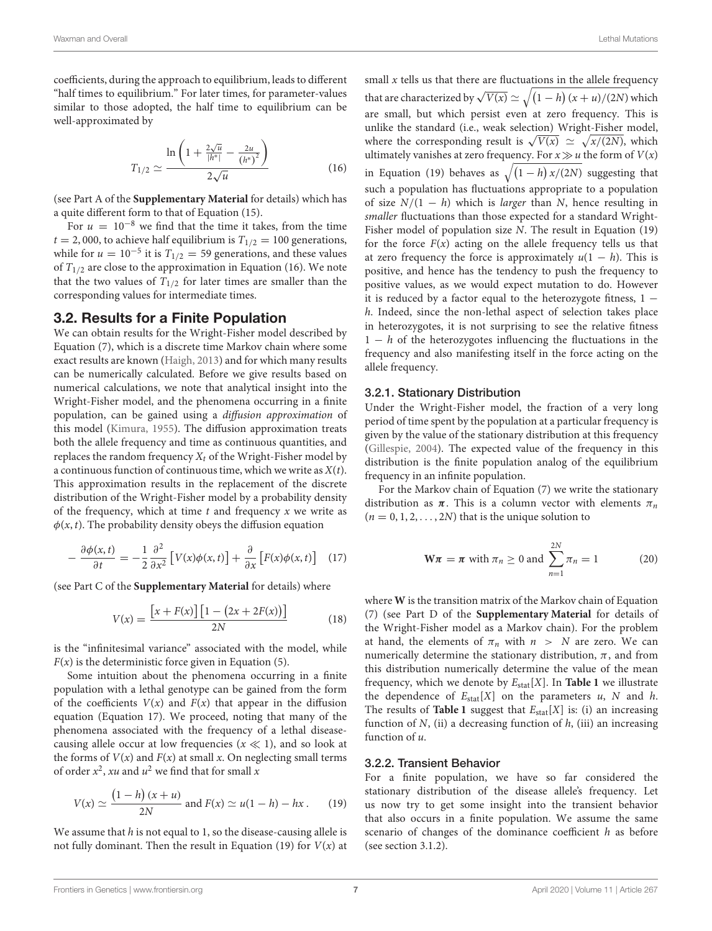coefficients, during the approach to equilibrium, leads to different "half times to equilibrium." For later times, for parameter-values similar to those adopted, the half time to equilibrium can be well-approximated by

$$
T_{1/2} \simeq \frac{\ln\left(1 + \frac{2\sqrt{u}}{|h^*|} - \frac{2u}{(h^*)^2}\right)}{2\sqrt{u}}
$$
(16)

(see Part A of the **[Supplementary Material](#page-9-5)** for details) which has a quite different form to that of Equation (15).

For  $u = 10^{-8}$  we find that the time it takes, from the time  $t = 2,000$ , to achieve half equilibrium is  $T_{1/2} = 100$  generations, while for  $u = 10^{-5}$  it is  $T_{1/2} = 59$  generations, and these values of  $T_{1/2}$  are close to the approximation in Equation (16). We note that the two values of  $T_{1/2}$  for later times are smaller than the corresponding values for intermediate times.

## 3.2. Results for a Finite Population

We can obtain results for the Wright-Fisher model described by Equation (7), which is a discrete time Markov chain where some exact results are known [\(Haigh, 2013\)](#page-9-12) and for which many results can be numerically calculated. Before we give results based on numerical calculations, we note that analytical insight into the Wright-Fisher model, and the phenomena occurring in a finite population, can be gained using a diffusion approximation of this model [\(Kimura, 1955\)](#page-9-13). The diffusion approximation treats both the allele frequency and time as continuous quantities, and replaces the random frequency  $X_t$  of the Wright-Fisher model by a continuous function of continuous time, which we write as  $X(t)$ . This approximation results in the replacement of the discrete distribution of the Wright-Fisher model by a probability density of the frequency, which at time  $t$  and frequency  $x$  we write as  $\phi(x, t)$ . The probability density obeys the diffusion equation

$$
-\frac{\partial \phi(x,t)}{\partial t} = -\frac{1}{2} \frac{\partial^2}{\partial x^2} \left[ V(x)\phi(x,t) \right] + \frac{\partial}{\partial x} \left[ F(x)\phi(x,t) \right] \tag{17}
$$

(see Part C of the **[Supplementary Material](#page-9-5)** for details) where

$$
V(x) = \frac{\left[x + F(x)\right]\left[1 - \left(2x + 2F(x)\right)\right]}{2N} \tag{18}
$$

is the "infinitesimal variance" associated with the model, while  $F(x)$  is the deterministic force given in Equation (5).

Some intuition about the phenomena occurring in a finite population with a lethal genotype can be gained from the form of the coefficients  $V(x)$  and  $F(x)$  that appear in the diffusion equation (Equation 17). We proceed, noting that many of the phenomena associated with the frequency of a lethal diseasecausing allele occur at low frequencies ( $x \ll 1$ ), and so look at the forms of  $V(x)$  and  $F(x)$  at small x. On neglecting small terms of order  $x^2$ , xu and  $u^2$  we find that for small x

$$
V(x) \simeq \frac{(1-h)(x+u)}{2N} \text{ and } F(x) \simeq u(1-h) - hx. \tag{19}
$$

We assume that  $h$  is not equal to 1, so the disease-causing allele is not fully dominant. Then the result in Equation (19) for  $V(x)$  at

small  $x$  tells us that there are fluctuations in the allele frequency that are characterized by  $\sqrt{V(x)} \simeq \sqrt{\left(1-h\right)(x+u)/(2N)}$  which are small, but which persist even at zero frequency. This is unlike the standard (i.e., weak selection) Wright-Fisher model, where the corresponding result is  $\sqrt{V(x)} \simeq \sqrt{x/(2N)}$ , which ultimately vanishes at zero frequency. For  $x \gg u$  the form of  $V(x)$ in Equation (19) behaves as  $\sqrt{(1-h)x/(2N)}$  suggesting that such a population has fluctuations appropriate to a population of size  $N/(1 - h)$  which is *larger* than N, hence resulting in smaller fluctuations than those expected for a standard Wright-Fisher model of population size N. The result in Equation (19) for the force  $F(x)$  acting on the allele frequency tells us that at zero frequency the force is approximately  $u(1 - h)$ . This is positive, and hence has the tendency to push the frequency to positive values, as we would expect mutation to do. However it is reduced by a factor equal to the heterozygote fitness,  $1$ h. Indeed, since the non-lethal aspect of selection takes place in heterozygotes, it is not surprising to see the relative fitness  $1 - h$  of the heterozygotes influencing the fluctuations in the frequency and also manifesting itself in the force acting on the allele frequency.

## 3.2.1. Stationary Distribution

Under the Wright-Fisher model, the fraction of a very long period of time spent by the population at a particular frequency is given by the value of the stationary distribution at this frequency [\(Gillespie, 2004\)](#page-9-11). The expected value of the frequency in this distribution is the finite population analog of the equilibrium frequency in an infinite population.

For the Markov chain of Equation (7) we write the stationary distribution as  $\pi$ . This is a column vector with elements  $\pi_n$  $(n = 0, 1, 2, \ldots, 2N)$  that is the unique solution to

$$
\mathbf{W}\boldsymbol{\pi} = \boldsymbol{\pi} \text{ with } \pi_n \ge 0 \text{ and } \sum_{n=1}^{2N} \pi_n = 1 \tag{20}
$$

where **W** is the transition matrix of the Markov chain of Equation (7) (see Part D of the **[Supplementary Material](#page-9-5)** for details of the Wright-Fisher model as a Markov chain). For the problem at hand, the elements of  $\pi_n$  with  $n > N$  are zero. We can numerically determine the stationary distribution,  $\pi$ , and from this distribution numerically determine the value of the mean frequency, which we denote by  $E_{stat}[X]$ . In **[Table 1](#page-7-0)** we illustrate the dependence of  $E_{stat}[X]$  on the parameters u, N and h. The results of **[Table 1](#page-7-0)** suggest that  $E_{stat}[X]$  is: (i) an increasing function of  $N$ , (ii) a decreasing function of  $h$ , (iii) an increasing function of u.

## 3.2.2. Transient Behavior

For a finite population, we have so far considered the stationary distribution of the disease allele's frequency. Let us now try to get some insight into the transient behavior that also occurs in a finite population. We assume the same scenario of changes of the dominance coefficient  $h$  as before (see section 3.1.2).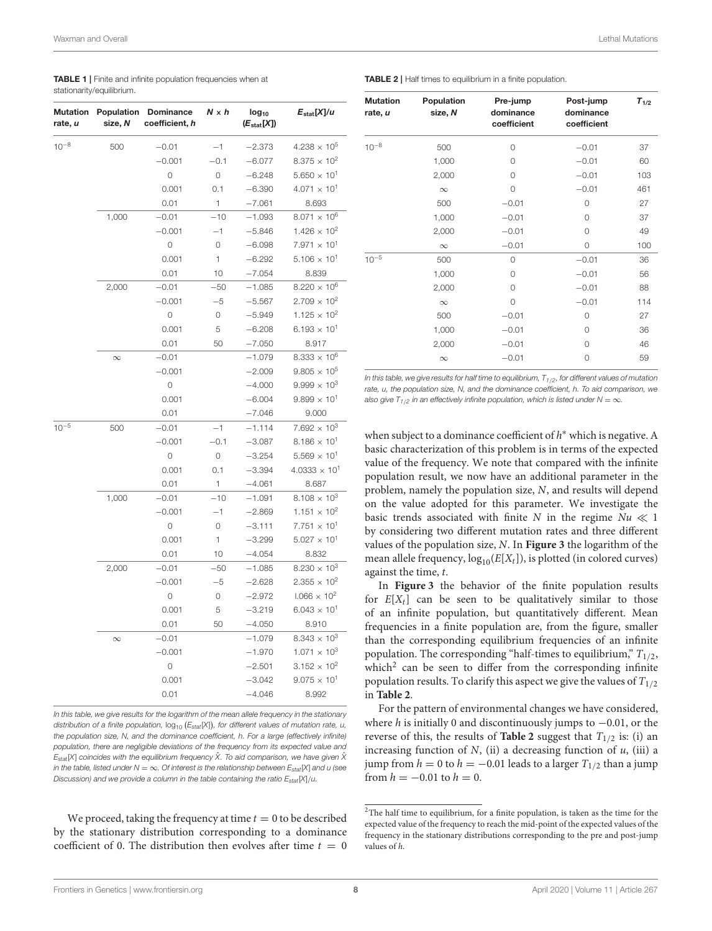<span id="page-7-0"></span>TABLE 1 | Finite and infinite population frequencies when at stationarity/equilibrium.

| <b>Mutation</b><br>rate, u | Population<br>size, N | Dominance<br>coefficient, h | $N \times h$ | $log_{10}$<br>$(E_{stat}[X])$ | $E_{stat}[X]/u$                |
|----------------------------|-----------------------|-----------------------------|--------------|-------------------------------|--------------------------------|
| $10^{-8}$                  | 500                   | $-0.01$                     | $-1$         | $-2.373$                      | $4.238 \times 10^{5}$          |
|                            |                       | $-0.001$                    | $-0.1$       | $-6.077$                      | $8.375 \times 10^{2}$          |
|                            |                       | $\circ$                     | 0            | $-6.248$                      | $5.650 \times 10^{1}$          |
|                            |                       | 0.001                       | 0.1          | $-6.390$                      | $4.071 \times 10^{1}$          |
|                            |                       | 0.01                        | 1            | $-7.061$                      | 8.693                          |
|                            | 1,000                 | $-0.01$                     | $-10$        | $-1.093$                      | $8.071 \times 10^{6}$          |
|                            |                       | $-0.001$                    | $-1$         | $-5.846$                      | $1.426 \times 10^{2}$          |
|                            |                       | 0                           | 0            | $-6.098$                      | $7.971 \times 10^{1}$          |
|                            |                       | 0.001                       | 1            | $-6.292$                      | $5.106 \times 10^{1}$          |
|                            |                       | 0.01                        | 10           | $-7.054$                      | 8.839                          |
|                            | 2,000                 | $-0.01$                     | $-50$        | $-1.085$                      | $8.220 \times 10^{6}$          |
|                            |                       | $-0.001$                    | $-5$         | $-5.567$                      | $2.709 \times 10^{2}$          |
|                            |                       | $\circ$                     | 0            | $-5.949$                      | $1.125 \times 10^{2}$          |
|                            |                       | 0.001                       | 5            | $-6.208$                      | $6.193 \times 10^{1}$          |
|                            |                       | 0.01                        | 50           | $-7.050$                      | 8.917                          |
|                            | $\infty$              | $-0.01$                     |              | $-1.079$                      | 8.333 $\times$ 10 <sup>6</sup> |
|                            |                       | $-0.001$                    |              | $-2.009$                      | $9.805 \times 10^{5}$          |
|                            |                       | 0                           |              | $-4.000$                      | $9.999 \times 10^{3}$          |
|                            |                       | 0.001                       |              | $-6.004$                      | $9.899 \times 10^{1}$          |
|                            |                       | 0.01                        |              | $-7.046$                      | 9.000                          |
| $10^{-5}$                  | 500                   | $-0.01$                     | $-1$         | $-1.114$                      | $7.692 \times 10^{3}$          |
|                            |                       | $-0.001$                    | $-0.1$       | $-3.087$                      | $8.186 \times 10^{1}$          |
|                            |                       | 0                           | 0            | $-3.254$                      | $5.569 \times 10^{1}$          |
|                            |                       | 0.001                       | 0.1          | $-3.394$                      | $4.0333 \times 10^{1}$         |
|                            |                       | 0.01                        | 1            | $-4.061$                      | 8.687                          |
|                            | 1,000                 | $-0.01$                     | $-10$        | $-1.091$                      | 8.108 $\times$ 10 <sup>3</sup> |
|                            |                       | $-0.001$                    | $-1$         | $-2.869$                      | $1.151 \times 10^{2}$          |
|                            |                       | 0                           | 0            | $-3.111$                      | $7.751 \times 10^{1}$          |
|                            |                       | 0.001                       | 1            | $-3.299$                      | $5.027 \times 10^{1}$          |
|                            |                       | 0.01                        | 10           | $-4.054$                      | 8.832                          |
|                            | 2,000                 | $-0.01$                     | $-50$        | $-1.085$                      | $8.230 \times 10^{3}$          |
|                            |                       | $-0.001$                    | $-5$         | $-2.628$                      | $2.355 \times 10^{2}$          |
|                            |                       | 0                           | 0            | $-2.972$                      | $1.066 \times 10^{2}$          |
|                            |                       | 0.001                       | 5            | $-3.219$                      | $6.043 \times 10^{1}$          |
|                            |                       | 0.01                        | 50           | $-4.050$                      | 8.910                          |
|                            | $\infty$              | $-0.01$                     |              | $-1.079$                      | 8.343 $\times$ 10 <sup>3</sup> |
|                            |                       | $-0.001$                    |              | $-1.970$                      | $1.071 \times 10^{3}$          |
|                            |                       | 0                           |              | $-2.501$                      | $3.152 \times 10^{2}$          |
|                            |                       | 0.001                       |              | $-3.042$                      | $9.075 \times 10^{1}$          |
|                            |                       | 0.01                        |              | $-4.046$                      | 8.992                          |

*In this table, we give results for the logarithm of the mean allele frequency in the stationary* distribution of a finite population, log<sub>10</sub> (E<sub>stat</sub>[X]), for different values of mutation rate, u, *the population size, N, and the dominance coefficient, h. For a large (effectively infinite) population, there are negligible deviations of the frequency from its expected value and*  $E_{\text{stat}}[X]$  *coincides with the equilibrium frequency*  $\hat{X}$ . To aid comparison, we have given  $\hat{X}$ *in the table, listed under N* =  $\infty$ *. Of interest is the relationship between*  $E_{stat}[X]$  *and u (see Discussion) and we provide a column in the table containing the ratio Estat*[*X*]/*u.*

We proceed, taking the frequency at time  $t = 0$  to be described by the stationary distribution corresponding to a dominance coefficient of 0. The distribution then evolves after time  $t = 0$ 

<span id="page-7-1"></span>TABLE 2 | Half times to equilibrium in a finite population.

| <b>Mutation</b><br>rate, u | Population<br>size, N | Pre-jump<br>dominance | Post-jump<br>dominance | $T_{1/2}$ |
|----------------------------|-----------------------|-----------------------|------------------------|-----------|
|                            |                       | coefficient           | coefficient            |           |
| $10^{-8}$                  | 500                   | 0                     | $-0.01$                | 37        |
|                            | 1,000                 | $\Omega$              | $-0.01$                | 60        |
|                            | 2,000                 | $\Omega$              | $-0.01$                | 103       |
|                            | $\infty$              | 0                     | $-0.01$                | 461       |
|                            | 500                   | $-0.01$               | $\Omega$               | 27        |
|                            | 1,000                 | $-0.01$               | $\Omega$               | 37        |
|                            | 2,000                 | $-0.01$               | 0                      | 49        |
|                            | $\infty$              | $-0.01$               | 0                      | 100       |
| $10^{-5}$                  | 500                   | 0                     | $-0.01$                | 36        |
|                            | 1,000                 | $\Omega$              | $-0.01$                | 56        |
|                            | 2,000                 | $\Omega$              | $-0.01$                | 88        |
|                            | $\infty$              | 0                     | $-0.01$                | 114       |
|                            | 500                   | $-0.01$               | $\Omega$               | 27        |
|                            | 1,000                 | $-0.01$               | $\Omega$               | 36        |
|                            | 2,000                 | $-0.01$               | 0                      | 46        |
|                            | $\infty$              | $-0.01$               | $\Omega$               | 59        |

*In this table, we give results for half time to equilibrium, T1*/*2, for different values of mutation rate, u, the population size, N, and the dominance coefficient, h. To aid comparison, we also give T*<sub>1/2</sub> in an effectively infinite population, which is listed under  $N = \infty$ .

when subject to a dominance coefficient of  $h^*$  which is negative. A basic characterization of this problem is in terms of the expected value of the frequency. We note that compared with the infinite population result, we now have an additional parameter in the problem, namely the population size, N, and results will depend on the value adopted for this parameter. We investigate the basic trends associated with finite N in the regime  $Nu \ll 1$ by considering two different mutation rates and three different values of the population size, N. In **[Figure 3](#page-5-0)** the logarithm of the mean allele frequency,  $log_{10}(E[X_t])$ , is plotted (in colored curves) against the time, t.

In **[Figure 3](#page-5-0)** the behavior of the finite population results for  $E[X_t]$  can be seen to be qualitatively similar to those of an infinite population, but quantitatively different. Mean frequencies in a finite population are, from the figure, smaller than the corresponding equilibrium frequencies of an infinite population. The corresponding "half-times to equilibrium,"  $T_{1/2}$ , which<sup>[2](#page-7-2)</sup> can be seen to differ from the corresponding infinite population results. To clarify this aspect we give the values of  $T_{1/2}$ in **[Table 2](#page-7-1)**.

For the pattern of environmental changes we have considered, where h is initially 0 and discontinuously jumps to  $-0.01$ , or the reverse of this, the results of **[Table 2](#page-7-1)** suggest that  $T_{1/2}$  is: (i) an increasing function of  $N$ , (ii) a decreasing function of  $u$ , (iii) a jump from  $h = 0$  to  $h = -0.01$  leads to a larger  $T_{1/2}$  than a jump from  $h = -0.01$  to  $h = 0$ .

<span id="page-7-2"></span><sup>2</sup>The half time to equilibrium, for a finite population, is taken as the time for the expected value of the frequency to reach the mid-point of the expected values of the frequency in the stationary distributions corresponding to the pre and post-jump values of h.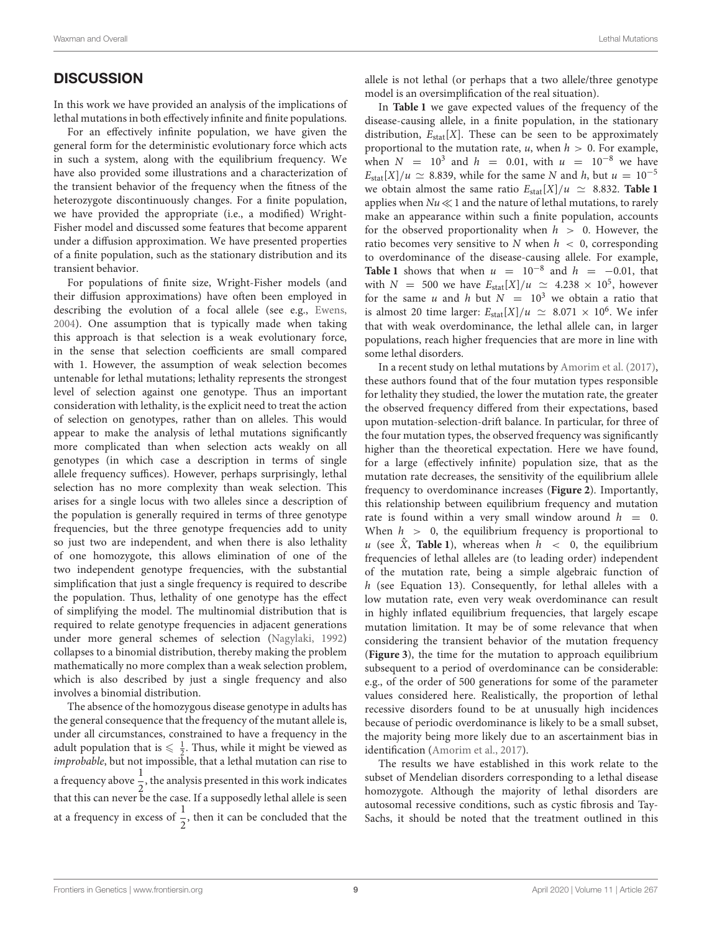# **DISCUSSION**

In this work we have provided an analysis of the implications of lethal mutations in both effectively infinite and finite populations.

For an effectively infinite population, we have given the general form for the deterministic evolutionary force which acts in such a system, along with the equilibrium frequency. We have also provided some illustrations and a characterization of the transient behavior of the frequency when the fitness of the heterozygote discontinuously changes. For a finite population, we have provided the appropriate (i.e., a modified) Wright-Fisher model and discussed some features that become apparent under a diffusion approximation. We have presented properties of a finite population, such as the stationary distribution and its transient behavior.

For populations of finite size, Wright-Fisher models (and their diffusion approximations) have often been employed in describing the evolution of a focal allele (see e.g., [Ewens,](#page-9-14) [2004\)](#page-9-14). One assumption that is typically made when taking this approach is that selection is a weak evolutionary force, in the sense that selection coefficients are small compared with 1. However, the assumption of weak selection becomes untenable for lethal mutations; lethality represents the strongest level of selection against one genotype. Thus an important consideration with lethality, is the explicit need to treat the action of selection on genotypes, rather than on alleles. This would appear to make the analysis of lethal mutations significantly more complicated than when selection acts weakly on all genotypes (in which case a description in terms of single allele frequency suffices). However, perhaps surprisingly, lethal selection has no more complexity than weak selection. This arises for a single locus with two alleles since a description of the population is generally required in terms of three genotype frequencies, but the three genotype frequencies add to unity so just two are independent, and when there is also lethality of one homozygote, this allows elimination of one of the two independent genotype frequencies, with the substantial simplification that just a single frequency is required to describe the population. Thus, lethality of one genotype has the effect of simplifying the model. The multinomial distribution that is required to relate genotype frequencies in adjacent generations under more general schemes of selection [\(Nagylaki, 1992\)](#page-9-15) collapses to a binomial distribution, thereby making the problem mathematically no more complex than a weak selection problem, which is also described by just a single frequency and also involves a binomial distribution.

The absence of the homozygous disease genotype in adults has the general consequence that the frequency of the mutant allele is, under all circumstances, constrained to have a frequency in the adult population that is  $\leq \frac{1}{2}$ . Thus, while it might be viewed as improbable, but not impossible, that a lethal mutation can rise to a frequency above  $\frac{1}{2}$ , the analysis presented in this work indicates  $\frac{2}{2}$  the many of processes in this constraint that this can never be the case. If a supposedly lethal allele is seen at a frequency in excess of  $\frac{1}{2}$ , then it can be concluded that the

allele is not lethal (or perhaps that a two allele/three genotype model is an oversimplification of the real situation).

In **[Table 1](#page-7-0)** we gave expected values of the frequency of the disease-causing allele, in a finite population, in the stationary distribution,  $E_{stat}[X]$ . These can be seen to be approximately proportional to the mutation rate,  $u$ , when  $h > 0$ . For example, when  $N = 10^3$  and  $h = 0.01$ , with  $u = 10^{-8}$  we have  $E_{\text{stat}}[X]/u \simeq 8.839$ , while for the same N and h, but  $u = 10^{-5}$ we obtain almost the same ratio  $E_{stat}[X]/u \approx 8.832$ . **[Table 1](#page-7-0)** applies when  $Nu \ll 1$  and the nature of lethal mutations, to rarely make an appearance within such a finite population, accounts for the observed proportionality when  $h > 0$ . However, the ratio becomes very sensitive to N when  $h < 0$ , corresponding to overdominance of the disease-causing allele. For example, **[Table 1](#page-7-0)** shows that when  $u = 10^{-8}$  and  $h = -0.01$ , that with  $N = 500$  we have  $E_{stat}[X]/u \simeq 4.238 \times 10^5$ , however for the same u and h but  $N = 10^3$  we obtain a ratio that is almost 20 time larger:  $E_{stat}[X]/u \simeq 8.071 \times 10^6$ . We infer that with weak overdominance, the lethal allele can, in larger populations, reach higher frequencies that are more in line with some lethal disorders.

In a recent study on lethal mutations by [Amorim et al. \(2017\)](#page-9-1), these authors found that of the four mutation types responsible for lethality they studied, the lower the mutation rate, the greater the observed frequency differed from their expectations, based upon mutation-selection-drift balance. In particular, for three of the four mutation types, the observed frequency was significantly higher than the theoretical expectation. Here we have found, for a large (effectively infinite) population size, that as the mutation rate decreases, the sensitivity of the equilibrium allele frequency to overdominance increases (**[Figure 2](#page-4-0)**). Importantly, this relationship between equilibrium frequency and mutation rate is found within a very small window around  $h = 0$ . When  $h > 0$ , the equilibrium frequency is proportional to u (see  $\hat{X}$ , **[Table 1](#page-7-0)**), whereas when  $h < 0$ , the equilibrium frequencies of lethal alleles are (to leading order) independent of the mutation rate, being a simple algebraic function of h (see Equation 13). Consequently, for lethal alleles with a low mutation rate, even very weak overdominance can result in highly inflated equilibrium frequencies, that largely escape mutation limitation. It may be of some relevance that when considering the transient behavior of the mutation frequency (**[Figure 3](#page-5-0)**), the time for the mutation to approach equilibrium subsequent to a period of overdominance can be considerable: e.g., of the order of 500 generations for some of the parameter values considered here. Realistically, the proportion of lethal recessive disorders found to be at unusually high incidences because of periodic overdominance is likely to be a small subset, the majority being more likely due to an ascertainment bias in identification [\(Amorim et al., 2017\)](#page-9-1).

The results we have established in this work relate to the subset of Mendelian disorders corresponding to a lethal disease homozygote. Although the majority of lethal disorders are autosomal recessive conditions, such as cystic fibrosis and Tay-Sachs, it should be noted that the treatment outlined in this